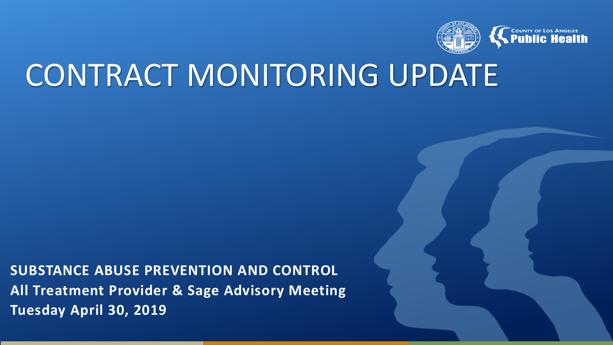

# CONTRACT MONITORING UPDATE

**SUBSTANCE ABUSE PREVENTION AND CONTROL All Treatment Provider & Sage Advisory Meeting Tuesday April 30, 2019**

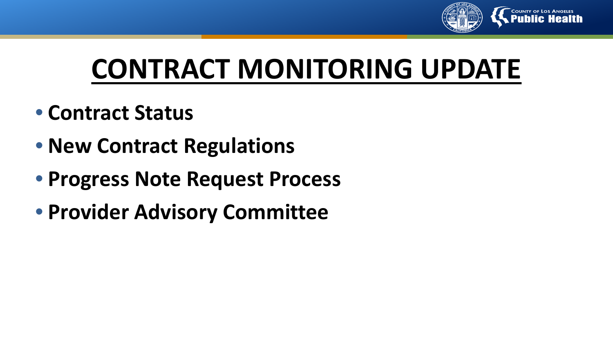

# **CONTRACT MONITORING UPDATE**

- **Contract Status**
- **New Contract Regulations**
- **Progress Note Request Process**
- **Provider Advisory Committee**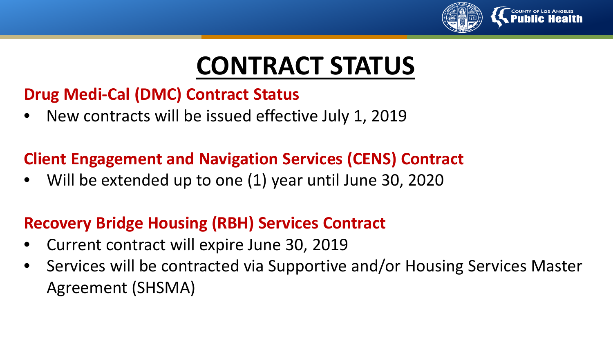

# **CONTRACT STATUS**

### **Drug Medi-Cal (DMC) Contract Status**

• New contracts will be issued effective July 1, 2019

### **Client Engagement and Navigation Services (CENS) Contract**

• Will be extended up to one (1) year until June 30, 2020

## **Recovery Bridge Housing (RBH) Services Contract**

- Current contract will expire June 30, 2019
- Services will be contracted via Supportive and/or Housing Services Master Agreement (SHSMA)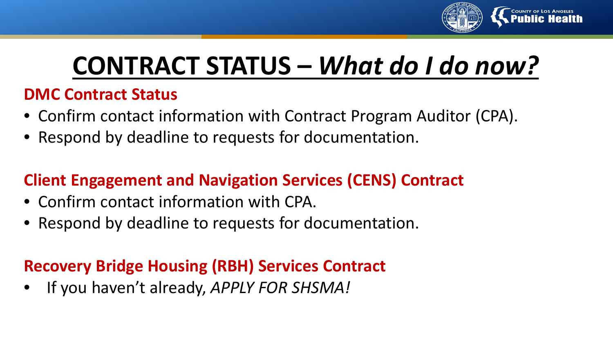

# **CONTRACT STATUS –** *What do I do now?*

### **DMC Contract Status**

- Confirm contact information with Contract Program Auditor (CPA).
- Respond by deadline to requests for documentation.

## **Client Engagement and Navigation Services (CENS) Contract**

- Confirm contact information with CPA.
- Respond by deadline to requests for documentation.

## **Recovery Bridge Housing (RBH) Services Contract**

• If you haven't already, *APPLY FOR SHSMA!*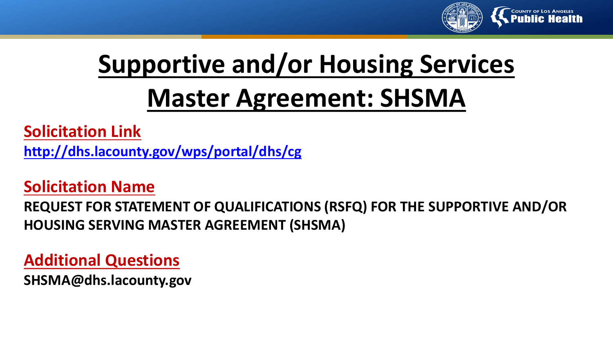

## **Supportive and/or Housing Services Master Agreement: SHSMA**

**Solicitation Link <http://dhs.lacounty.gov/wps/portal/dhs/cg>**

#### **Solicitation Name**

**REQUEST FOR STATEMENT OF QUALIFICATIONS (RSFQ) FOR THE SUPPORTIVE AND/OR HOUSING SERVING MASTER AGREEMENT (SHSMA)**

**Additional Questions**

**SHSMA@dhs.lacounty.gov**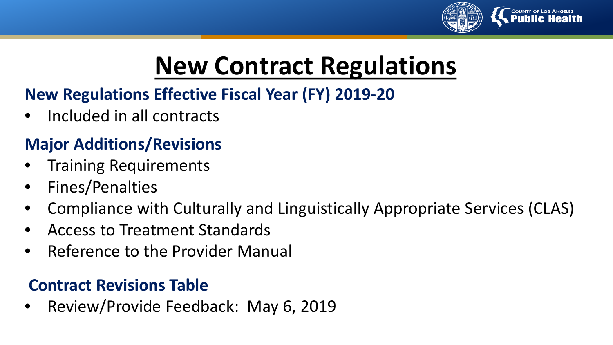

## **New Contract Regulations**

## **New Regulations Effective Fiscal Year (FY) 2019-20**

• Included in all contracts

## **Major Additions/Revisions**

- Training Requirements
- Fines/Penalties
- Compliance with Culturally and Linguistically Appropriate Services (CLAS)
- Access to Treatment Standards
- Reference to the Provider Manual

## **Contract Revisions Table**

• Review/Provide Feedback: May 6, 2019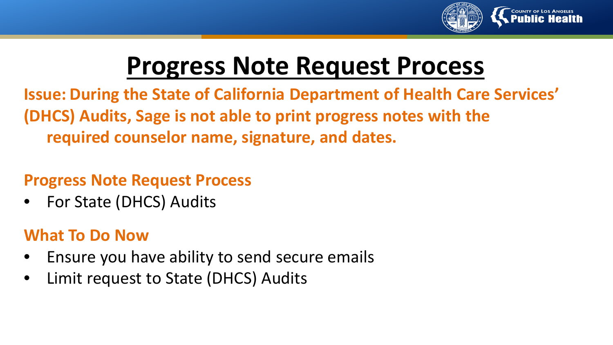

## **Progress Note Request Process**

**Issue: During the State of California Department of Health Care Services' (DHCS) Audits, Sage is not able to print progress notes with the required counselor name, signature, and dates.**

#### **Progress Note Request Process**

For State (DHCS) Audits

## **What To Do Now**

- Ensure you have ability to send secure emails
- Limit request to State (DHCS) Audits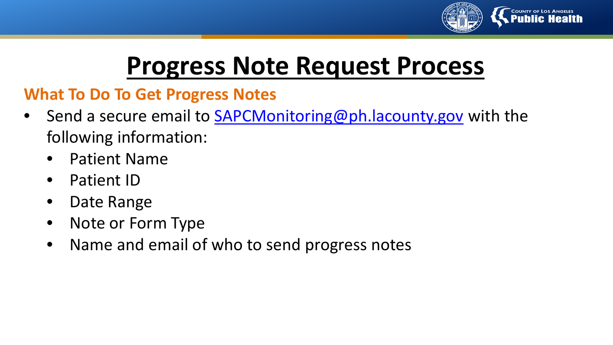

## **Progress Note Request Process**

### **What To Do To Get Progress Notes**

- Send a secure email to [SAPCMonitoring@ph.lacounty.gov](mailto:SAPCMonitoring@ph.lacounty.gov) with the following information:
	- Patient Name
	- Patient ID
	- Date Range
	- Note or Form Type
	- Name and email of who to send progress notes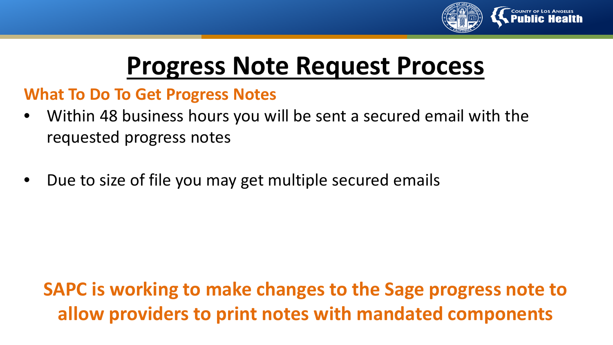

## **Progress Note Request Process**

#### **What To Do To Get Progress Notes**

- Within 48 business hours you will be sent a secured email with the requested progress notes
- Due to size of file you may get multiple secured emails

## **SAPC is working to make changes to the Sage progress note to allow providers to print notes with mandated components**